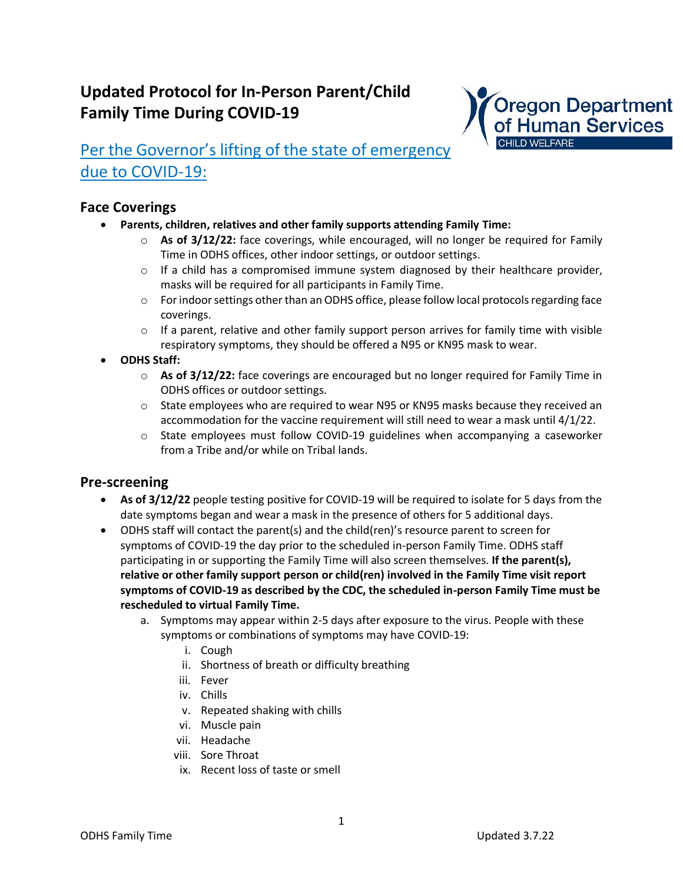# **Updated Protocol for In-Person Parent/Child Family Time During COVID-19**



# Per the Governor's lifting of the state of emergency due to COVID-19:

### **Face Coverings**

- **Parents, children, relatives and other family supports attending Family Time:**
	- o **As of 3/12/22:** face coverings, while encouraged, will no longer be required for Family Time in ODHS offices, other indoor settings, or outdoor settings.
	- $\circ$  If a child has a compromised immune system diagnosed by their healthcare provider, masks will be required for all participants in Family Time.
	- $\circ$  For indoor settings other than an ODHS office, please follow local protocols regarding face coverings.
	- $\circ$  If a parent, relative and other family support person arrives for family time with visible respiratory symptoms, they should be offered a N95 or KN95 mask to wear.
- **ODHS Staff:**
	- o **As of 3/12/22:** face coverings are encouraged but no longer required for Family Time in ODHS offices or outdoor settings.
	- $\circ$  State employees who are required to wear N95 or KN95 masks because they received an accommodation for the vaccine requirement will still need to wear a mask until 4/1/22.
	- $\circ$  State employees must follow COVID-19 guidelines when accompanying a caseworker from a Tribe and/or while on Tribal lands.

### **Pre-screening**

- **As of 3/12/22** people testing positive for COVID-19 will be required to isolate for 5 days from the date symptoms began and wear a mask in the presence of others for 5 additional days.
- ODHS staff will contact the parent(s) and the child(ren)'s resource parent to screen for symptoms of COVID-19 the day prior to the scheduled in-person Family Time. ODHS staff participating in or supporting the Family Time will also screen themselves. **If the parent(s), relative or other family support person or child(ren) involved in the Family Time visit report symptoms of COVID-19 as described by the CDC, the scheduled in-person Family Time must be rescheduled to virtual Family Time.**
	- a. Symptoms may appear within 2-5 days after exposure to the virus. People with these symptoms or combinations of symptoms may have COVID-19:
		- i. Cough
		- ii. Shortness of breath or difficulty breathing
		- iii. Fever
		- iv. Chills
		- v. Repeated shaking with chills
		- vi. Muscle pain
		- vii. Headache
		- viii. Sore Throat
		- ix. Recent loss of taste or smell